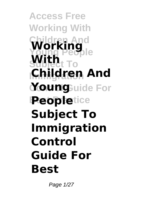**Access Free Working With Children And Working With Immigration Children And Young**Buide For **Peopletice Subject To Immigration Control Guide For Best**

Page 1/27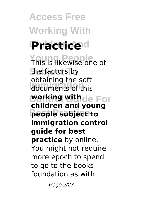**Access Free Working With Practice**<sup>d</sup> **Young People** This is likewise one of the factors by documents of this **working withde For Best Practice people subject to** obtaining the soft **children and young immigration control guide for best practice** by online. You might not require more epoch to spend to go to the books foundation as with

Page 2/27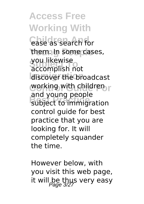**Access Free Working With Case as search for** them. In some cases, you likewise<br>accomplish not discover the broadcast working with children r and young people<br>subject to immigration you likewise and young people control guide for best practice that you are looking for. It will completely squander the time.

However below, with you visit this web page, it will be thus very easy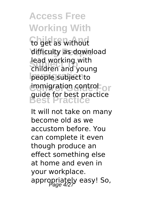# **Access Free Working With**

**Children And** to get as without difficulty as download **Tead working with**<br>children and young people subject to **immigration control or Best Practice** guide for best practice lead working with

It will not take on many become old as we accustom before. You can complete it even though produce an effect something else at home and even in your workplace. appropriately easy! So,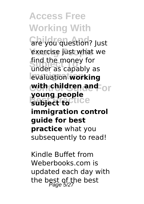**Access Free Working With** *Che you question?* Just exercise just what we **Subject To** under as capably as **Immigration** evaluation **working with children and <code>or</code> Bubject to** find the money for **young people immigration control guide for best practice** what you subsequently to read!

Kindle Buffet from Weberbooks.com is updated each day with the best of the best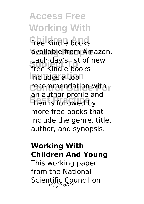**Access Free Working With free Kindle books** available from Amazon. **Subject To** free Kindle books **Imcludes a toph** recommendation with r then is followed by Each day's list of new an author profile and more free books that include the genre, title, author, and synopsis.

#### **Working With Children And Young**

This working paper from the National Scientific Council on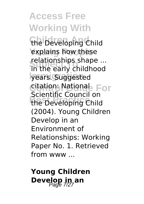**Access Free Working With** the Developing Child explains how these relationships shape ...<br>in the early childhood years. Suggested Citation: National<sub>e</sub> For **Best Rife Council on** relationships shape ... Scientific Council on (2004). Young Children Develop in an Environment of Relationships: Working Paper No. 1. Retrieved from www ...

**Young Children Develop in an**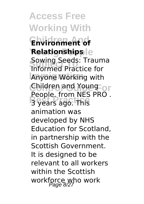**Access Free Working With Children And Environment of**  $\text{Relating}$ **Relationships Sowing Seeds: Traun**<br>Informed Practice for **Anyone Working with** Children and Young or Best Pream Press Sowing Seeds: Trauma People. from NES PRO . animation was developed by NHS Education for Scotland, in partnership with the Scottish Government. It is designed to be relevant to all workers within the Scottish workforce who work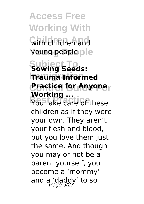**Access Free Working With Children And** with children and young people.ple **Subject To Sowing Seeds: Immigration Trauma Informed Practice for Anyone**r **Profiting** ... **Working ...** children as if they were your own. They aren't your flesh and blood, but you love them just the same. And though you may or not be a parent yourself, you become a 'mommy' and a 'daddy' to so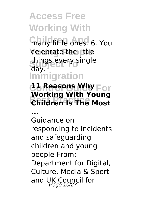## **Access Free Working With many little ones. 6. You** celebrate the little things every single<br>day **Immigration** day.

#### **C<sub>o</sub>** Reasons Why For **Children Is The Most Working With Young**

**...**

Guidance on responding to incidents and safeguarding children and young people From: Department for Digital, Culture, Media & Sport and UK Council for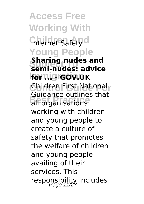**Access Free Working With Children** Children And **Young People Subject To semi-nudes: advice Immigration for ... - GOV.UK** Children First National<sub>r</sub> **Bulgarice** butility **Sharing nudes and** Guidance outlines that working with children and young people to create a culture of safety that promotes the welfare of children and young people availing of their services. This responsibility includes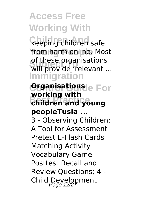# **Access Free Working With**

**Keeping children safe** from harm online. Most of these organisations<br>will provide 'relevant ... **Immigration** of these organisations

**Crannisations**le For **Best Practice children and young working with peopleTusla ...**

3 - Observing Children: A Tool for Assessment Pretest E-Flash Cards Matching Activity Vocabulary Game Posttest Recall and Review Questions; 4 - Child Development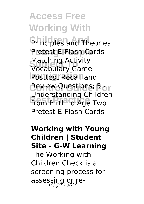**Access Free Working With Principles and Theories** Pretest E-Flash Cards **Matching Activity**<br>Vocabulary Game **Posttest Recall and Review Questions; 5 or Best Prom Birth to Age Two** Matching Activity Understanding Children Pretest E-Flash Cards

**Working with Young Children | Student Site - G-W Learning** The Working with Children Check is a screening process for assessing or re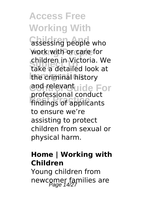**Access Free Working With assessing people who** work with or care for **Subject To** take a detailed look at **Immigration** the criminal history **Contrelevantuide For Best Practice** findings of applicants children in Victoria. We professional conduct to ensure we're assisting to protect children from sexual or physical harm.

### **Home | Working with Children**

Young children from newcomer families are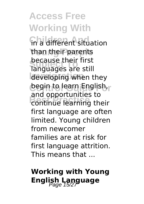## **Access Free Working With Children** Situation than their parents **Subject To** languages are still developing when they **Control Guide For** begin to learn English, **Best Practice** continue learning their because their first and opportunities to first language are often limited. Young children from newcomer families are at risk for first language attrition. This means that ...

## **Working with Young English Language**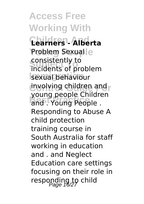**Access Free Working With Children And Learners - Alberta Problem Sexual**le consistently to<br>incidents of problem sexual behaviour involving children and **Best Propic Cinnais** consistently to young people Children Responding to Abuse A child protection training course in South Australia for staff working in education and . and Neglect Education care settings focusing on their role in responding to child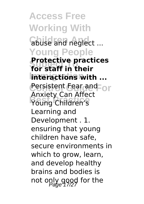**Access Free Working With Gbuse and neglect ... Young People Frotective pract**<br>**for staff in their Interactions with ... Cersistent Eear and For Prixtery Carl After Protective practices** Anxiety Can Affect Learning and Development . 1. ensuring that young children have safe, secure environments in which to grow, learn. and develop healthy brains and bodies is not only good for the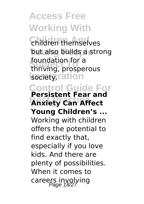**Access Free Working With Children themselves** but also builds a strong **Toundation for a**<br>thriving, prosperous **Isociety**ration **Control Guide For Best Can Affect** foundation for a **Persistent Fear and Young Children's ...** Working with children offers the potential to find exactly that, especially if you love kids. And there are plenty of possibilities. When it comes to careers involying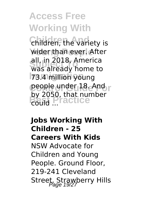# **Access Free Working With**

**Children**, the variety is wider than ever. After **Subject To** was already home to **Immigration** 73.4 million young people under 18. And r by 2050, that number<br>could **BEST** all, in 2018, America could ...

**Jobs Working With Children - 25 Careers With Kids** NSW Advocate for Children and Young People. Ground Floor, 219-241 Cleveland Street, Strawberry Hills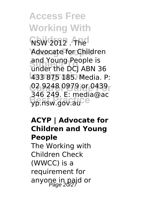**Access Free Working With NSW 2012 . The** Advocate for Children and roung People is<br>under the DCJ ABN 36 **Immigration** 433 875 185. Media. P: **Control Guide For** 02 9248 0979 or 0439 **best Practice**<br> **best** Press, pp.nsw.gov.au and Young People is 346 249. E: media@ac

### **ACYP | Advocate for Children and Young People**

The Working with Children Check (WWCC) is a requirement for anyone in paid or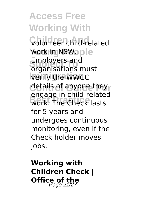**Access Free Working With Colunteer** child-related work in NSW. ple **Subject To** organisations must **Immigration** verify the WWCC details of anyone they **Best Practice**<br>
work. The Check lasts Employers and engage in child-related for 5 years and undergoes continuous monitoring, even if the Check holder moves jobs.

**Working with Children Check | Office of the**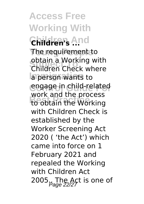**Access Free Working With Children And Children's ...** The requirement to **Subject Topical Topics**<br>Children Check where **Immigration** a person wants to **Control Guide For** engage in child-related **Best Process**<br>to obtain the Working obtain a Working with work and the process with Children Check is established by the Worker Screening Act 2020 ( 'the Act') which came into force on 1 February 2021 and repealed the Working with Children Act 2005. The Act is one of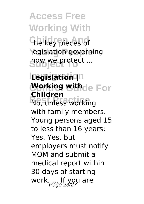**Access Free Working With** the key pieces of legislation governing **Subject To** 

**Immigration Legislation | Working withde For Best Working Children** with family members. Young persons aged 15 to less than 16 years: Yes. Yes, but employers must notify MOM and submit a medical report within 30 days of starting work.... If you are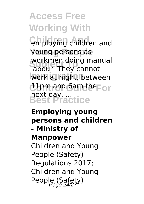**Access Free Working With** employing children and young persons as **Subject To** labour: They cannot **Immigration** work at night, between  $d$ **l**  $p$ m and 6am the For next day. ...<br>Best Practice workmen doing manual

### **Employing young persons and children - Ministry of Manpower** Children and Young People (Safety) Regulations 2017; Children and Young People (Safety)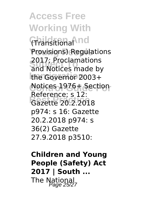**Access Free Working With Children And** (Transitional **Provisions) Regulations** zu17; Proclamations<br>and Notices made by the Governor 2003+ **Control Guide For** Notices 1976+ Section **Best Practice** Gazette 20.2.2018 2017; Proclamations Reference; s 12: p974: s 16: Gazette 20.2.2018 p974: s 36(2) Gazette 27.9.2018 p3510:

**Children and Young People (Safety) Act 2017 | South ...** The National<br>Page 25/27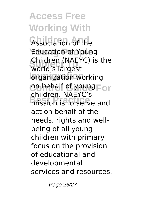**Access Free Working With Association of the Education of Young Subject To** world's largest *<u><b>Iorganization* working</u> on behalf of young For **Best Property**<br> **Best Property**<br> **Best Property** Children (NAEYC) is the children. NAEYC's act on behalf of the needs, rights and wellbeing of all young children with primary focus on the provision of educational and developmental services and resources.

Page 26/27